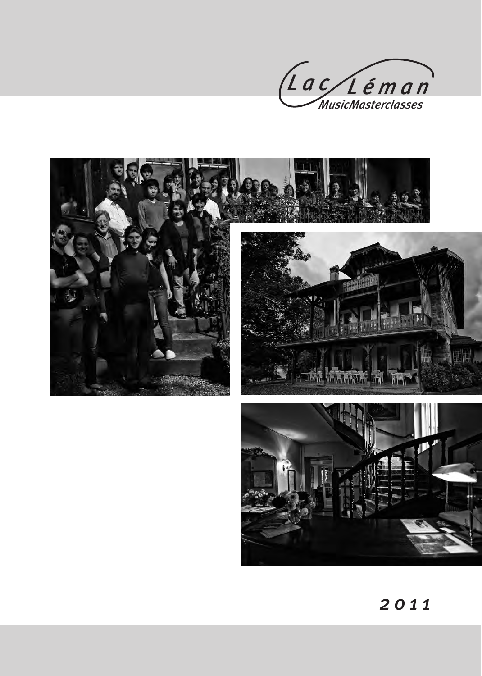





2 0 1 1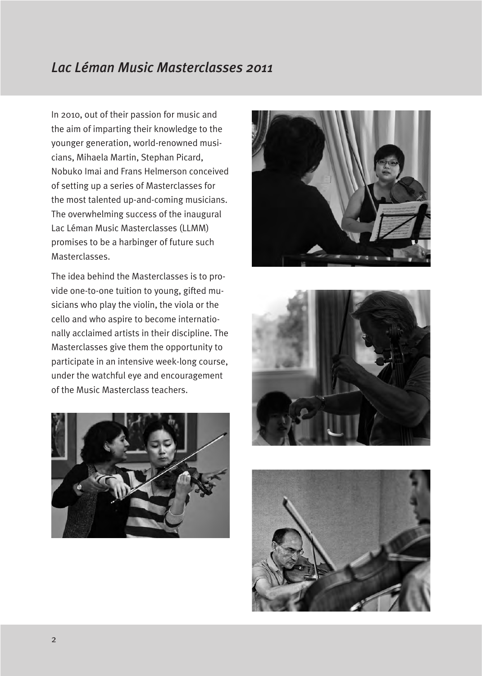#### *Lac Léman Music Masterclasses 2011*

In 2010, out of their passion for music and the aim of imparting their knowledge to the younger generation, world-renowned musicians, Mihaela Martin, Stephan Picard, Nobuko Imai and Frans Helmerson conceived of setting up a series of Masterclasses for the most talented up-and-coming musicians. The overwhelming success of the inaugural Lac Léman Music Masterclasses (LLMM) promises to be a harbinger of future such Masterclasses.

The idea behind the Masterclasses is to provide one-to-one tuition to young, gifted musicians who play the violin, the viola or the cello and who aspire to become internationally acclaimed artists in their discipline. The Masterclasses give them the opportunity to participate in an intensive week-long course, under the watchful eye and encouragement of the Music Masterclass teachers.







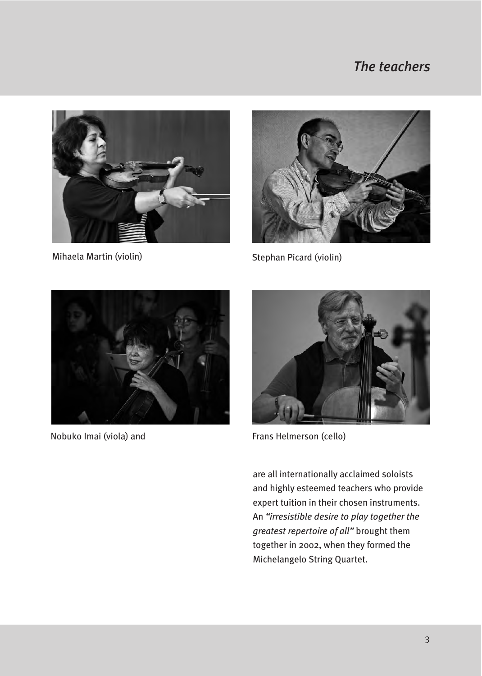## *The teachers*





Mihaela Martin (violin) Stephan Picard (violin)



Nobuko Imai (viola) and



Frans Helmerson (cello)

are all internationally acclaimed soloists and highly esteemed teachers who provide expert tuition in their chosen instruments. An *"irresistible desire to play together the greatest repertoire of all"* brought them together in 2002, when they formed the Michelangelo String Quartet.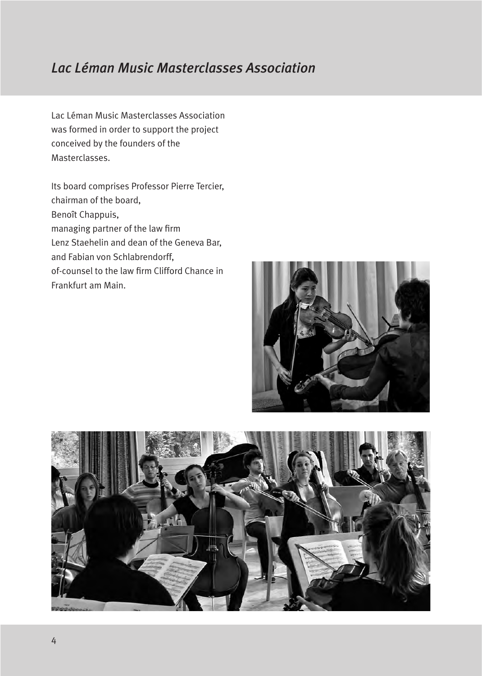#### *Lac Léman Music Masterclasses Association*

Lac Léman Music Masterclasses Association was formed in order to support the project conceived by the founders of the Masterclasses.

Its board comprises Professor Pierre Tercier, chairman of the board, Benoît Chappuis, managing partner of the law firm Lenz Staehelin and dean of the Geneva Bar, and Fabian von Schlabrendorff, of-counsel to the law firm Clifford Chance in Frankfurt am Main.



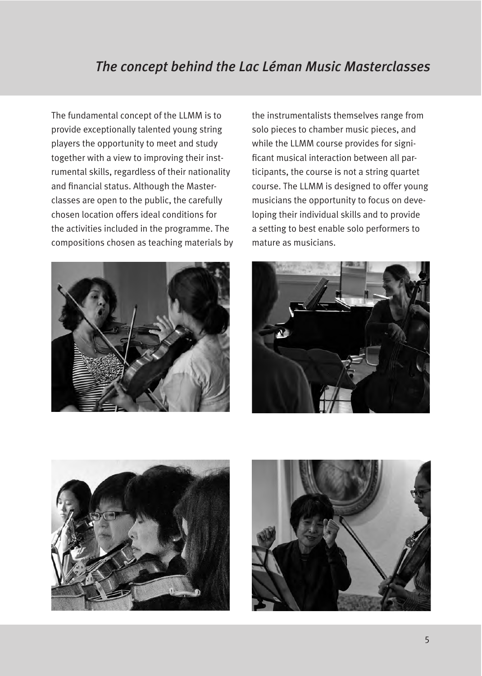#### *The concept behind the Lac Léman Music Masterclasses*

The fundamental concept of the LLMM is to provide exceptionally talented young string players the opportunity to meet and study together with a view to improving their instrumental skills, regardless of their nationality and financial status. Although the Masterclasses are open to the public, the carefully chosen location offers ideal conditions for the activities included in the programme. The compositions chosen as teaching materials by



the instrumentalists themselves range from solo pieces to chamber music pieces, and while the LLMM course provides for significant musical interaction between all participants, the course is not a string quartet course. The LLMM is designed to offer young musicians the opportunity to focus on developing their individual skills and to provide a setting to best enable solo performers to mature as musicians.





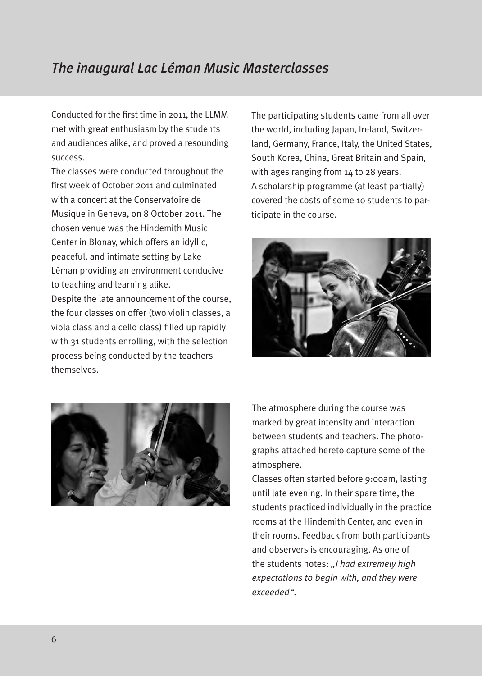## *The inaugural Lac Léman Music Masterclasses*

Conducted for the first time in 2011, the LLMM met with great enthusiasm by the students and audiences alike, and proved a resounding success.

The classes were conducted throughout the first week of October 2011 and culminated with a concert at the Conservatoire de Musique in Geneva, on 8 October 2011. The chosen venue was the Hindemith Music Center in Blonay, which offers an idyllic, peaceful, and intimate setting by Lake Léman providing an environment conducive to teaching and learning alike.

Despite the late announcement of the course, the four classes on offer (two violin classes, a viola class and a cello class) filled up rapidly with 31 students enrolling, with the selection process being conducted by the teachers themselves.

The participating students came from all over the world, including Japan, Ireland, Switzerland, Germany, France, Italy, the United States, South Korea, China, Great Britain and Spain, with ages ranging from 14 to 28 years. A scholarship programme (at least partially) covered the costs of some 10 students to participate in the course.





The atmosphere during the course was marked by great intensity and interaction between students and teachers. The photographs attached hereto capture some of the atmosphere.

Classes often started before 9:00am, lasting until late evening. In their spare time, the students practiced individually in the practice rooms at the Hindemith Center, and even in their rooms. Feedback from both participants and observers is encouraging. As one of the students notes: *"I had extremely high expectations to begin with, and they were exceeded"*.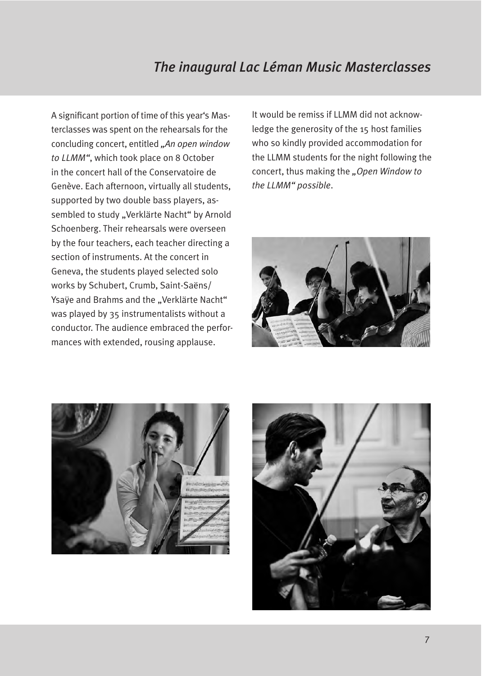# *The inaugural Lac Léman Music Masterclasses*

A significant portion of time of this year's Masterclasses was spent on the rehearsals for the concluding concert, entitled *"An open window to LLMM"*, which took place on 8 October in the concert hall of the Conservatoire de Genève. Each afternoon, virtually all students, supported by two double bass players, assembled to study "Verklärte Nacht" by Arnold Schoenberg. Their rehearsals were overseen by the four teachers, each teacher directing a section of instruments. At the concert in Geneva, the students played selected solo works by Schubert, Crumb, Saint-Saëns/ Ysaÿe and Brahms and the "Verklärte Nacht" was played by 35 instrumentalists without a conductor. The audience embraced the performances with extended, rousing applause.

It would be remiss if LLMM did not acknowledge the generosity of the 15 host families who so kindly provided accommodation for the LLMM students for the night following the concert, thus making the *"Open Window to the LLMM" possible*.